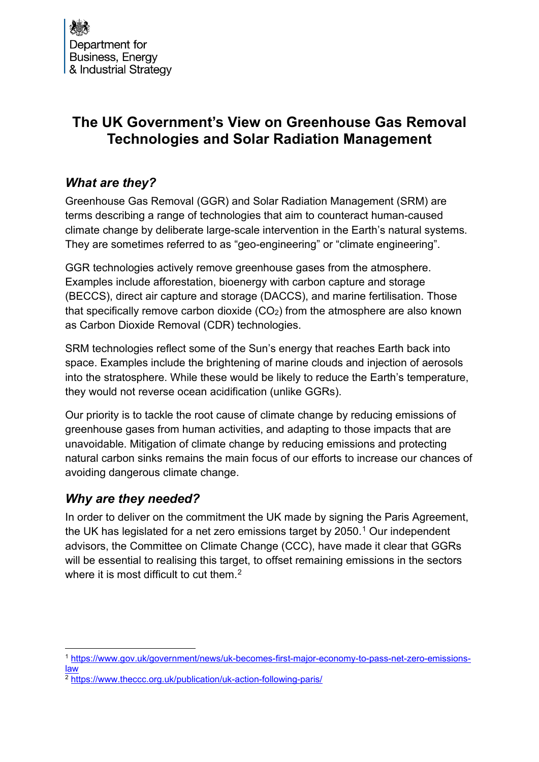# **The UK Government's View on Greenhouse Gas Removal Technologies and Solar Radiation Management**

# *What are they?*

Greenhouse Gas Removal (GGR) and Solar Radiation Management (SRM) are terms describing a range of technologies that aim to counteract human-caused climate change by deliberate large-scale intervention in the Earth's natural systems. They are sometimes referred to as "geo-engineering" or "climate engineering".

GGR technologies actively remove greenhouse gases from the atmosphere. Examples include afforestation, bioenergy with carbon capture and storage (BECCS), direct air capture and storage (DACCS), and marine fertilisation. Those that specifically remove carbon dioxide  $(CO<sub>2</sub>)$  from the atmosphere are also known as Carbon Dioxide Removal (CDR) technologies.

SRM technologies reflect some of the Sun's energy that reaches Earth back into space. Examples include the brightening of marine clouds and injection of aerosols into the stratosphere. While these would be likely to reduce the Earth's temperature, they would not reverse ocean acidification (unlike GGRs).

Our priority is to tackle the root cause of climate change by reducing emissions of greenhouse gases from human activities, and adapting to those impacts that are unavoidable. Mitigation of climate change by reducing emissions and protecting natural carbon sinks remains the main focus of our efforts to increase our chances of avoiding dangerous climate change.

### *Why are they needed?*

In order to deliver on the commitment the UK made by signing the Paris Agreement, the UK has legislated for a net zero emissions target by  $2050<sup>1</sup>$  $2050<sup>1</sup>$  $2050<sup>1</sup>$  Our independent advisors, the Committee on Climate Change (CCC), have made it clear that GGRs will be essential to realising this target, to offset remaining emissions in the sectors where it is most difficult to cut them. $2$ 

<span id="page-0-0"></span><sup>1</sup> [https://www.gov.uk/government/news/uk-becomes-first-major-economy-to-pass-net-zero-emissions](https://www.gov.uk/government/news/uk-becomes-first-major-economy-to-pass-net-zero-emissions-law)[law](https://www.gov.uk/government/news/uk-becomes-first-major-economy-to-pass-net-zero-emissions-law)

<span id="page-0-1"></span><sup>2</sup> <https://www.theccc.org.uk/publication/uk-action-following-paris/>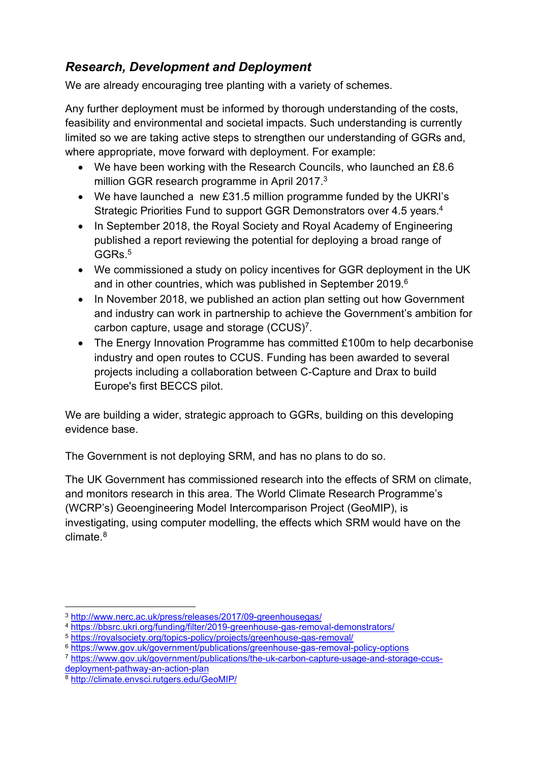# *Research, Development and Deployment*

We are already encouraging tree planting with a variety of schemes.

Any further deployment must be informed by thorough understanding of the costs, feasibility and environmental and societal impacts. Such understanding is currently limited so we are taking active steps to strengthen our understanding of GGRs and, where appropriate, move forward with deployment. For example:

- We have been working with the Research Councils, who launched an £8.6 million GGR research programme in April 2017. $^3$  $^3$
- We have launched a new £31.5 million programme funded by the UKRI's Strategic Priorities Fund to support GGR Demonstrators over 4.5 years.[4](#page-1-1)
- In September 2018, the Royal Society and Royal Academy of Engineering published a report reviewing the potential for deploying a broad range of GGRs. [5](#page-1-2)
- We commissioned a study on policy incentives for GGR deployment in the UK and in other countries, which was published in September 2019. $^6$  $^6$
- In November 2018, we published an action plan setting out how Government and industry can work in partnership to achieve the Government's ambition for carbon capture, usage and storage  $(CCUS)^7$  $(CCUS)^7$ .
- The Energy Innovation Programme has committed £100m to help decarbonise industry and open routes to CCUS. Funding has been awarded to several projects including a collaboration between C-Capture and Drax to build Europe's first BECCS pilot.

We are building a wider, strategic approach to GGRs, building on this developing evidence base.

The Government is not deploying SRM, and has no plans to do so.

The UK Government has commissioned research into the effects of SRM on climate, and monitors research in this area. The World Climate Research Programme's (WCRP's) Geoengineering Model Intercomparison Project (GeoMIP), is investigating, using computer modelling, the effects which SRM would have on the climate. [8](#page-1-5)

<span id="page-1-1"></span><span id="page-1-0"></span><sup>3</sup> <http://www.nerc.ac.uk/press/releases/2017/09-greenhousegas/>4 <https://bbsrc.ukri.org/funding/filter/2019-greenhouse-gas-removal-demonstrators/>

<span id="page-1-2"></span><sup>5</sup> <https://royalsociety.org/topics-policy/projects/greenhouse-gas-removal/>

<span id="page-1-3"></span><sup>6</sup> <https://www.gov.uk/government/publications/greenhouse-gas-removal-policy-options>

<span id="page-1-4"></span><sup>7</sup> [https://www.gov.uk/government/publications/the-uk-carbon-capture-usage-and-storage-ccus-](https://www.gov.uk/government/publications/the-uk-carbon-capture-usage-and-storage-ccus-deployment-pathway-an-action-plan)

<span id="page-1-5"></span><sup>8</sup> http://climate.envsci.rutgers.edu/GeoMIP/